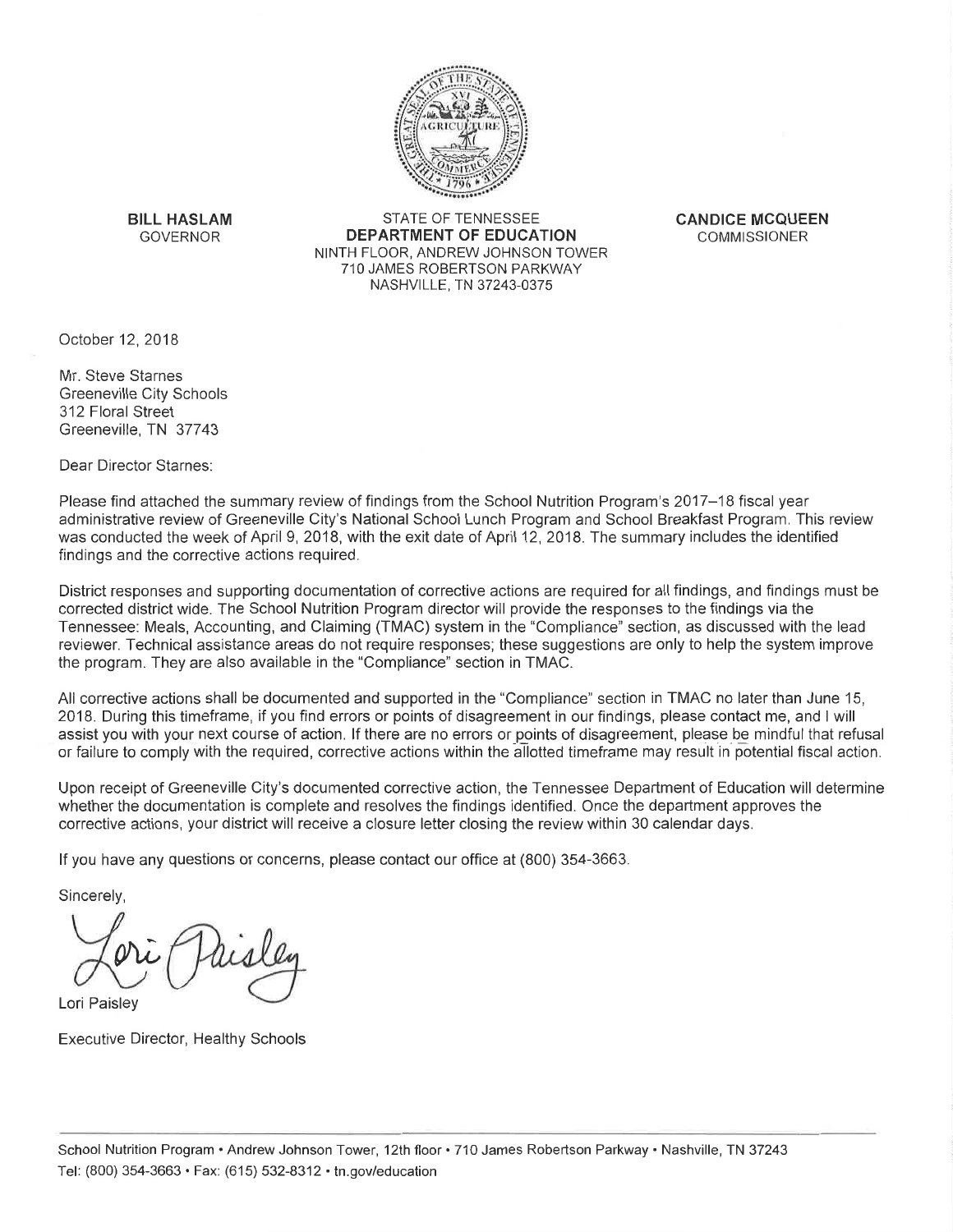

**BILL HASLAM** GOVERNOR

**STATE OF TENNESSEE DEPARTMENT OF EDUCATION** NINTH FLOOR, ANDREW JOHNSON TOWER 710 JAMES ROBERTSON PARKWAY NASHVILLE, TN 37243-0375

**CANDICE MCQUEEN COMMISSIONER** 

October 12, 2018

Mr. Steve Starnes **Greeneville City Schools** 312 Floral Street Greeneville, TN 37743

Dear Director Starnes:

Please find attached the summary review of findings from the School Nutrition Program's 2017–18 fiscal year administrative review of Greeneville City's National School Lunch Program and School Breakfast Program. This review was conducted the week of April 9, 2018, with the exit date of April 12, 2018. The summary includes the identified findings and the corrective actions required.

District responses and supporting documentation of corrective actions are required for all findings, and findings must be corrected district wide. The School Nutrition Program director will provide the responses to the findings via the Tennessee: Meals, Accounting, and Claiming (TMAC) system in the "Compliance" section, as discussed with the lead reviewer. Technical assistance areas do not require responses; these suggestions are only to help the system improve the program. They are also available in the "Compliance" section in TMAC.

All corrective actions shall be documented and supported in the "Compliance" section in TMAC no later than June 15, 2018. During this timeframe, if you find errors or points of disagreement in our findings, please contact me, and I will assist you with your next course of action. If there are no errors or points of disagreement, please be mindful that refusal or failure to comply with the required, corrective actions within the allotted timeframe may result in potential fiscal action.

Upon receipt of Greeneville City's documented corrective action, the Tennessee Department of Education will determine whether the documentation is complete and resolves the findings identified. Once the department approves the corrective actions, your district will receive a closure letter closing the review within 30 calendar days.

If you have any questions or concerns, please contact our office at (800) 354-3663.

Sincerely.

Lori Paisley

**Executive Director, Healthy Schools**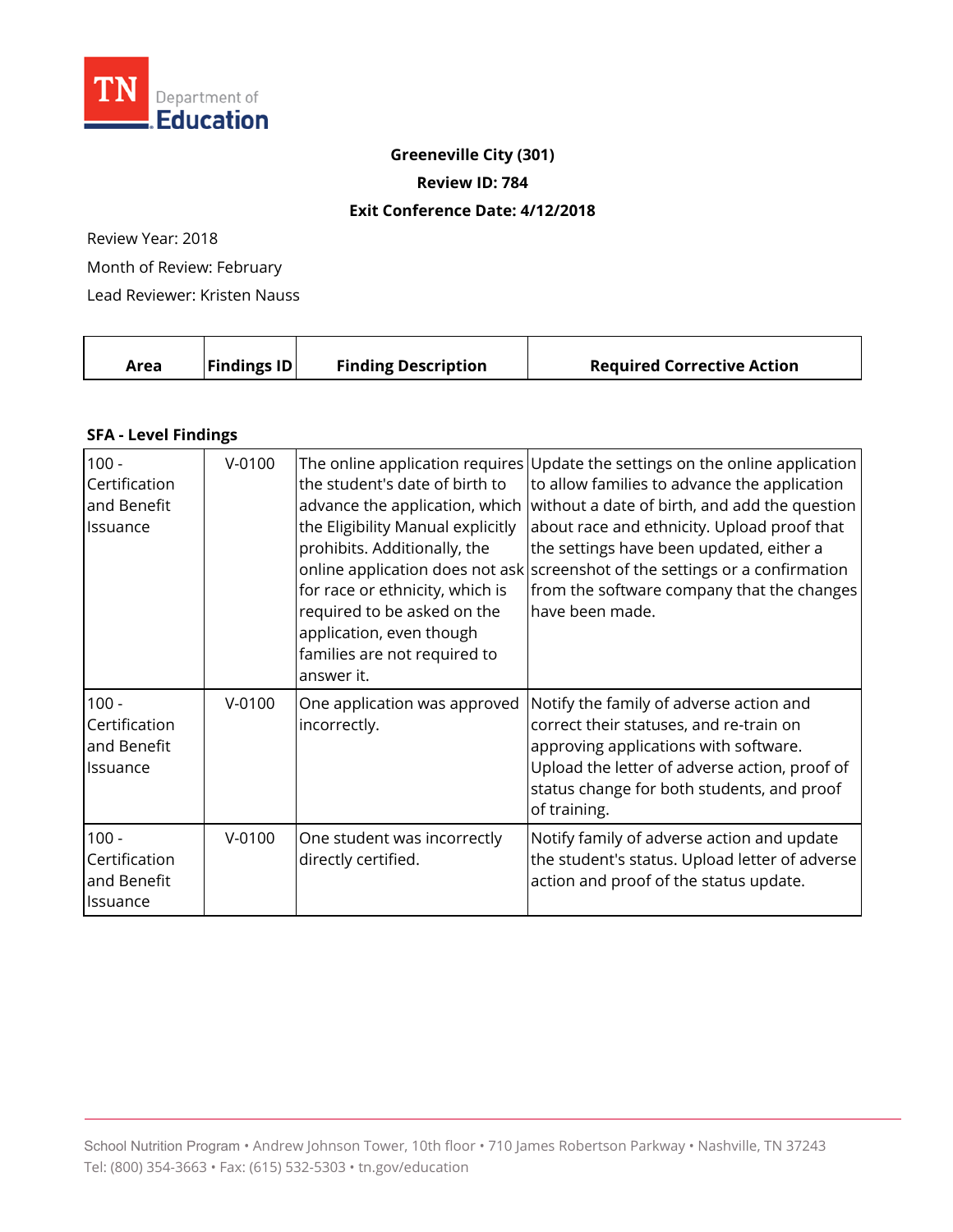

### **Greeneville City (301)**

**Review ID: 784** 

#### **Exit Conference Date: 4/12/2018**

Review Year: 2018

Month of Review: February

Lead Reviewer: Kristen Nauss

| <b>Findings ID</b><br><b>Finding Description</b><br><b>Required Corrective Action</b><br>Area |  |
|-----------------------------------------------------------------------------------------------|--|
|-----------------------------------------------------------------------------------------------|--|

### **SFA - Level Findings**

| $100 -$<br>Certification<br>and Benefit<br>Issuance        | $V-0100$ | the student's date of birth to<br>advance the application, which<br>the Eligibility Manual explicitly<br>prohibits. Additionally, the<br>for race or ethnicity, which is<br>required to be asked on the<br>application, even though<br>families are not required to<br>answer it. | The online application requires Update the settings on the online application<br>to allow families to advance the application<br>without a date of birth, and add the question<br>about race and ethnicity. Upload proof that<br>the settings have been updated, either a<br>online application does not ask screenshot of the settings or a confirmation<br>from the software company that the changes<br>have been made. |
|------------------------------------------------------------|----------|-----------------------------------------------------------------------------------------------------------------------------------------------------------------------------------------------------------------------------------------------------------------------------------|----------------------------------------------------------------------------------------------------------------------------------------------------------------------------------------------------------------------------------------------------------------------------------------------------------------------------------------------------------------------------------------------------------------------------|
| $100 -$<br>Certification<br>and Benefit<br><i>Issuance</i> | $V-0100$ | One application was approved<br>incorrectly.                                                                                                                                                                                                                                      | Notify the family of adverse action and<br>correct their statuses, and re-train on<br>approving applications with software.<br>Upload the letter of adverse action, proof of<br>status change for both students, and proof<br>of training.                                                                                                                                                                                 |
| $100 -$<br>Certification<br>and Benefit<br>Issuance        | $V-0100$ | One student was incorrectly<br>directly certified.                                                                                                                                                                                                                                | Notify family of adverse action and update<br>the student's status. Upload letter of adverse<br>action and proof of the status update.                                                                                                                                                                                                                                                                                     |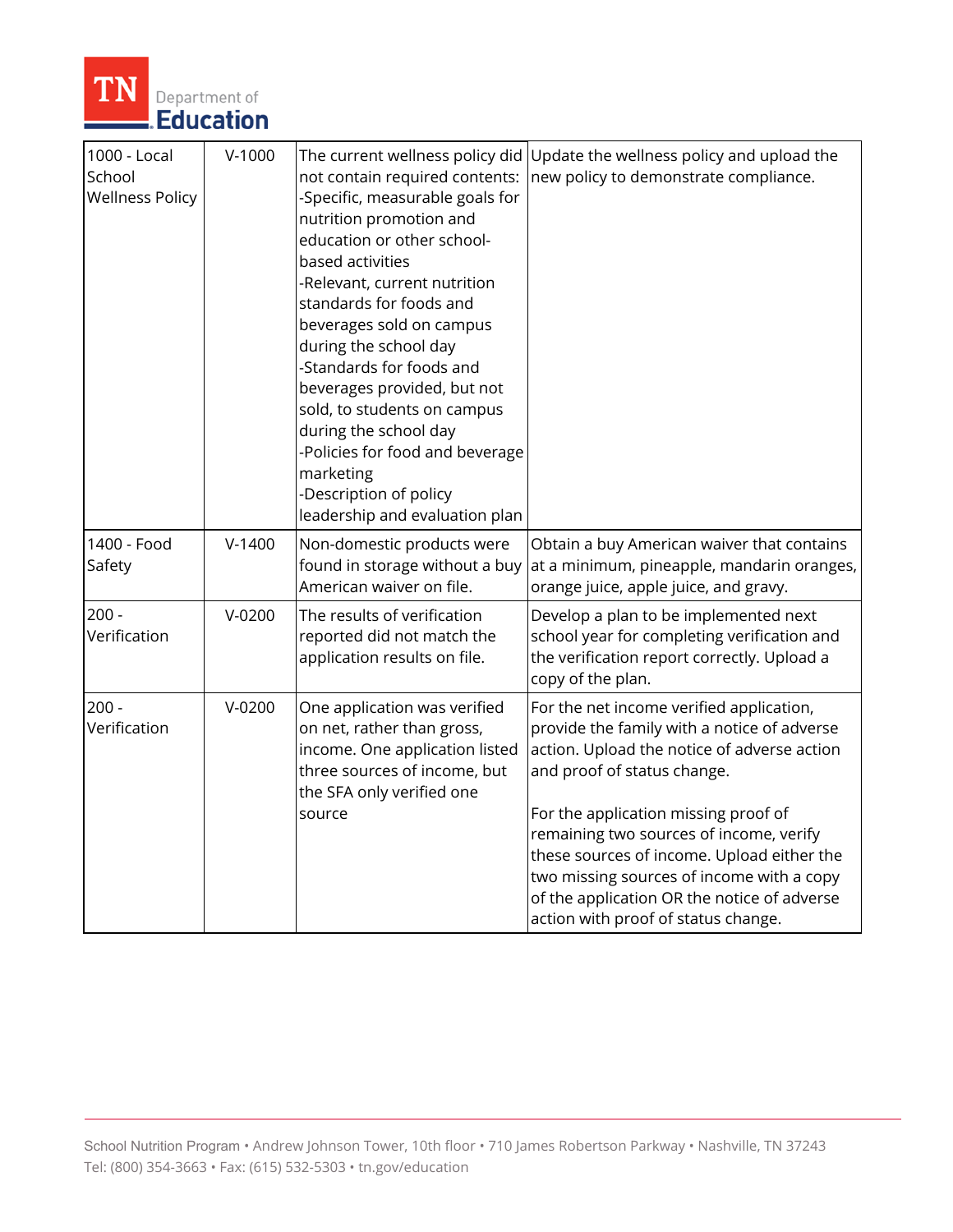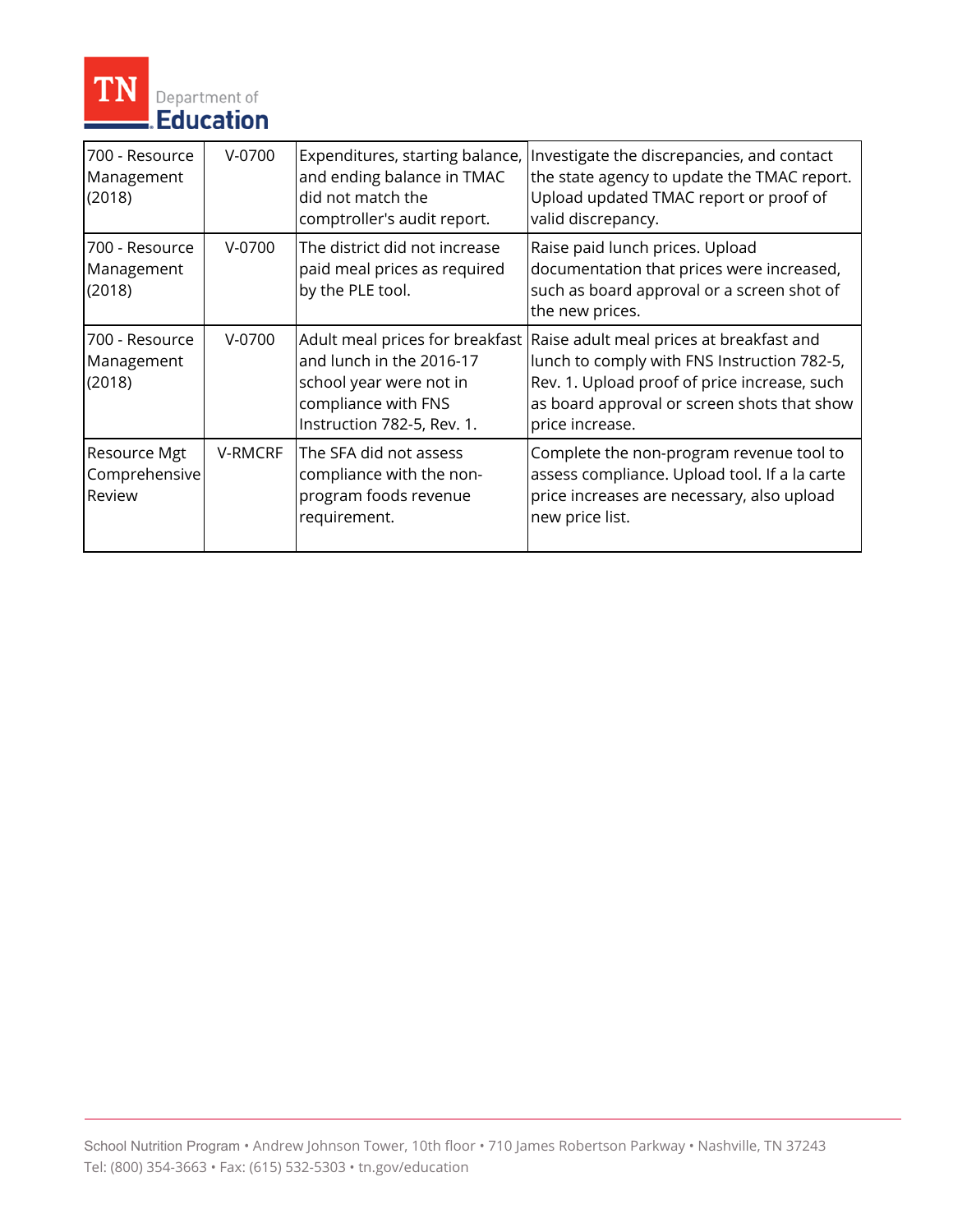

| 700 - Resource<br>Management<br>(2018)  | $V-0700$ | Expenditures, starting balance,<br>and ending balance in TMAC<br>did not match the<br>comptroller's audit report.                           | Investigate the discrepancies, and contact<br>the state agency to update the TMAC report.<br>Upload updated TMAC report or proof of<br>valid discrepancy.                                                 |
|-----------------------------------------|----------|---------------------------------------------------------------------------------------------------------------------------------------------|-----------------------------------------------------------------------------------------------------------------------------------------------------------------------------------------------------------|
| 700 - Resource<br>Management<br>(2018)  | $V-0700$ | The district did not increase<br>paid meal prices as required<br>by the PLE tool.                                                           | Raise paid lunch prices. Upload<br>documentation that prices were increased,<br>such as board approval or a screen shot of<br>the new prices.                                                             |
| 700 - Resource<br>Management<br>(2018)  | $V-0700$ | Adult meal prices for breakfast<br>and lunch in the 2016-17<br>school year were not in<br>compliance with FNS<br>Instruction 782-5, Rev. 1. | Raise adult meal prices at breakfast and<br>lunch to comply with FNS Instruction 782-5,<br>Rev. 1. Upload proof of price increase, such<br>as board approval or screen shots that show<br>price increase. |
| Resource Mgt<br>Comprehensive<br>Review | V-RMCRF  | The SFA did not assess<br>compliance with the non-<br>program foods revenue<br>requirement.                                                 | Complete the non-program revenue tool to<br>assess compliance. Upload tool. If a la carte<br>price increases are necessary, also upload<br>new price list.                                                |